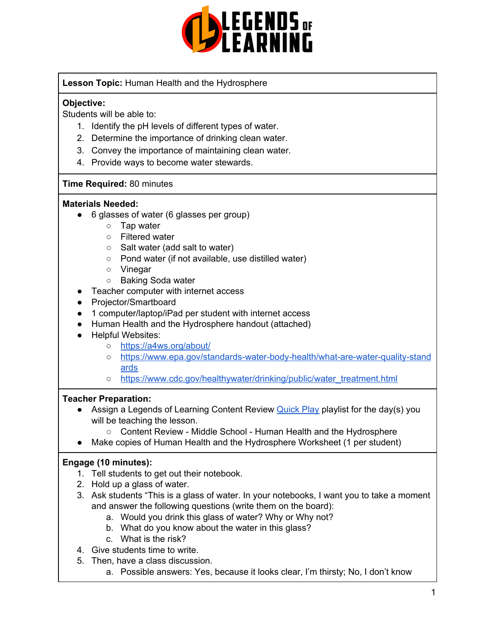

**Lesson Topic:** Human Health and the Hydrosphere

### **Objective:**

Students will be able to:

- 1. Identify the pH levels of different types of water.
- 2. Determine the importance of drinking clean water.
- 3. Convey the importance of maintaining clean water.
- 4. Provide ways to become water stewards.

### **Time Required:** 80 minutes

#### **Materials Needed:**

- 6 glasses of water (6 glasses per group)
	- Tap water
	- Filtered water
	- Salt water (add salt to water)
	- Pond water (if not available, use distilled water)
	- Vinegar
	- Baking Soda water
- Teacher computer with internet access
- Projector/Smartboard
- 1 computer/laptop/iPad per student with internet access
- Human Health and the Hydrosphere handout (attached)
- Helpful Websites:
	- <https://a4ws.org/about/>
	- [https://www.epa.gov/standards-water-body-health/what-are-water-quality-stand](https://www.epa.gov/standards-water-body-health/what-are-water-quality-standards) [ards](https://www.epa.gov/standards-water-body-health/what-are-water-quality-standards)
	- [https://www.cdc.gov/healthywater/drinking/public/water\\_treatment.html](https://www.cdc.gov/healthywater/drinking/public/water_treatment.html)

### **Teacher Preparation:**

- Assign a Legends of Learning Content Review **[Quick](https://intercom.help/legends-of-learning/en/articles/2701866-assigning-a-quick-play-playlist) Play playlist for the day(s)** you will be teaching the lesson.
	- Content Review Middle School Human Health and the Hydrosphere
- Make copies of Human Health and the Hydrosphere Worksheet (1 per student)

# **Engage (10 minutes):**

- 1. Tell students to get out their notebook.
- 2. Hold up a glass of water.
- 3. Ask students "This is a glass of water. In your notebooks, I want you to take a moment and answer the following questions (write them on the board):
	- a. Would you drink this glass of water? Why or Why not?
	- b. What do you know about the water in this glass?
	- c. What is the risk?
- 4. Give students time to write.
- 5. Then, have a class discussion.
	- a. Possible answers: Yes, because it looks clear, I'm thirsty; No, I don't know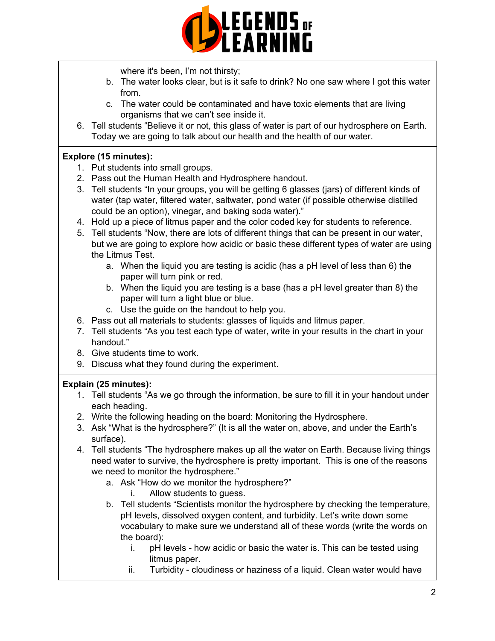

where it's been, I'm not thirsty;

- b. The water looks clear, but is it safe to drink? No one saw where I got this water from.
- c. The water could be contaminated and have toxic elements that are living organisms that we can't see inside it.
- 6. Tell students "Believe it or not, this glass of water is part of our hydrosphere on Earth. Today we are going to talk about our health and the health of our water.

### **Explore (15 minutes):**

- 1. Put students into small groups.
- 2. Pass out the Human Health and Hydrosphere handout.
- 3. Tell students "In your groups, you will be getting 6 glasses (jars) of different kinds of water (tap water, filtered water, saltwater, pond water (if possible otherwise distilled could be an option), vinegar, and baking soda water)."
- 4. Hold up a piece of litmus paper and the color coded key for students to reference.
- 5. Tell students "Now, there are lots of different things that can be present in our water, but we are going to explore how acidic or basic these different types of water are using the Litmus Test.
	- a. When the liquid you are testing is acidic (has a pH level of less than 6) the paper will turn pink or red.
	- b. When the liquid you are testing is a base (has a pH level greater than 8) the paper will turn a light blue or blue.
	- c. Use the guide on the handout to help you.
- 6. Pass out all materials to students: glasses of liquids and litmus paper.
- 7. Tell students "As you test each type of water, write in your results in the chart in your handout."
- 8. Give students time to work.
- 9. Discuss what they found during the experiment.

# **Explain (25 minutes):**

- 1. Tell students "As we go through the information, be sure to fill it in your handout under each heading.
- 2. Write the following heading on the board: Monitoring the Hydrosphere.
- 3. Ask "What is the hydrosphere?" (It is all the water on, above, and under the Earth's surface).
- 4. Tell students "The hydrosphere makes up all the water on Earth. Because living things need water to survive, the hydrosphere is pretty important. This is one of the reasons we need to monitor the hydrosphere."
	- a. Ask "How do we monitor the hydrosphere?"
		- i. Allow students to guess.
	- b. Tell students "Scientists monitor the hydrosphere by checking the temperature, pH levels, dissolved oxygen content, and turbidity. Let's write down some vocabulary to make sure we understand all of these words (write the words on the board):
		- i. pH levels how acidic or basic the water is. This can be tested using litmus paper.
		- ii. Turbidity cloudiness or haziness of a liquid. Clean water would have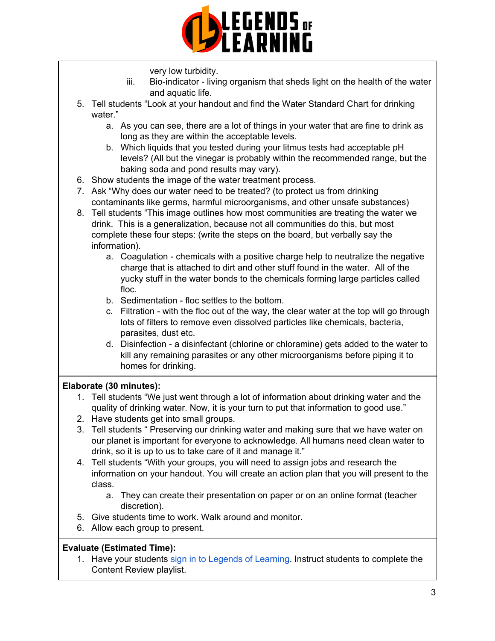

very low turbidity.

- iii. Bio-indicator living organism that sheds light on the health of the water and aquatic life.
- 5. Tell students "Look at your handout and find the Water Standard Chart for drinking water."
	- a. As you can see, there are a lot of things in your water that are fine to drink as long as they are within the acceptable levels.
	- b. Which liquids that you tested during your litmus tests had acceptable pH levels? (All but the vinegar is probably within the recommended range, but the baking soda and pond results may vary).
- 6. Show students the image of the water treatment process.
- 7. Ask "Why does our water need to be treated? (to protect us from drinking contaminants like germs, harmful microorganisms, and other unsafe substances)
- 8. Tell students "This image outlines how most communities are treating the water we drink. This is a generalization, because not all communities do this, but most complete these four steps: (write the steps on the board, but verbally say the information).
	- a. Coagulation chemicals with a positive charge help to neutralize the negative charge that is attached to dirt and other stuff found in the water. All of the yucky stuff in the water bonds to the chemicals forming large particles called floc.
	- b. Sedimentation floc settles to the bottom.
	- c. Filtration with the floc out of the way, the clear water at the top will go through lots of filters to remove even dissolved particles like chemicals, bacteria, parasites, dust etc.
	- d. Disinfection a disinfectant (chlorine or chloramine) gets added to the water to kill any remaining parasites or any other microorganisms before piping it to homes for drinking.

# **Elaborate (30 minutes):**

- 1. Tell students "We just went through a lot of information about drinking water and the quality of drinking water. Now, it is your turn to put that information to good use."
- 2. Have students get into small groups.
- 3. Tell students " Preserving our drinking water and making sure that we have water on our planet is important for everyone to acknowledge. All humans need clean water to drink, so it is up to us to take care of it and manage it."
- 4. Tell students "With your groups, you will need to assign jobs and research the information on your handout. You will create an action plan that you will present to the class.
	- a. They can create their presentation on paper or on an online format (teacher discretion).
- 5. Give students time to work. Walk around and monitor.
- 6. Allow each group to present.

### **Evaluate (Estimated Time):**

1. Have your students sign in to Legends of [Learning](https://intercom.help/legends-of-learning/en/articles/2154920-students-joining-a-playlist). Instruct students to complete the Content Review playlist.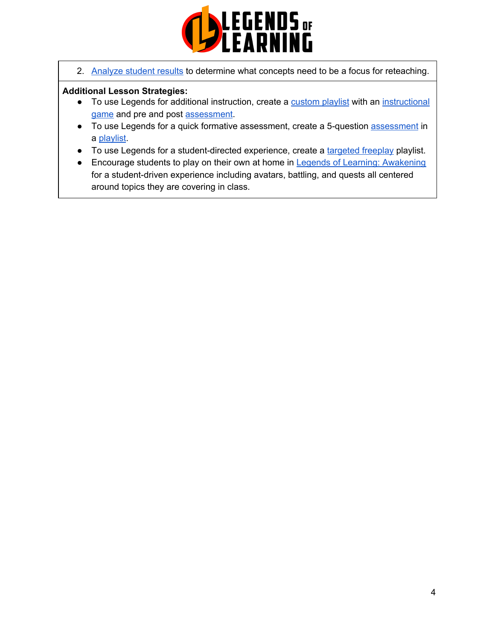

2. [Analyze](https://intercom.help/legends-of-learning/en/articles/2154918-tracking-student-progress-and-performance) student results to determine what concepts need to be a focus for reteaching.

### **Additional Lesson Strategies:**

- To use Legends for additional instruction, create a [custom](https://intercom.help/legends-of-learning/en/articles/2154910-creating-a-playlist) playlist with an [instructional](https://intercom.help/legends-of-learning/en/articles/3505828-types-of-games) [game](https://intercom.help/legends-of-learning/en/articles/3505828-types-of-games) and pre and post [assessment](https://intercom.help/legends-of-learning/en/articles/2154913-adding-assessments-to-a-playlist).
- To use Legends for a quick formative [assessment](https://intercom.help/legends-of-learning/en/articles/2154913-adding-assessments-to-a-playlist), create a 5-question assessment in a [playlist](https://intercom.help/legends-of-learning/en/articles/2154910-creating-a-playlist).
- To use Legends for a student-directed experience, create a [targeted](https://intercom.help/legends-of-learning/en/articles/3340814-targeted-freeplay) freeplay playlist.
- Encourage students to play on their own at home in Legends of Learning: [Awakening](https://intercom.help/legends-of-learning/en/articles/2425490-legends-of-learning-awakening) for a student-driven experience including avatars, battling, and quests all centered around topics they are covering in class.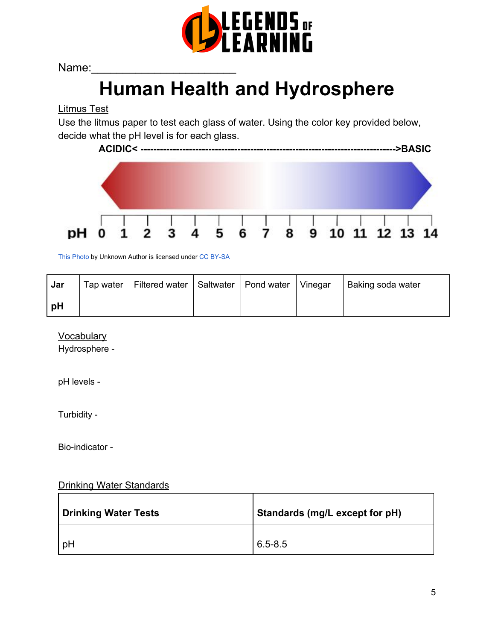

Name:

# **Human Health and Hydrosphere**

Litmus Test

Use the litmus paper to test each glass of water. Using the color key provided below, decide what the pH level is for each glass.



This [Photo](https://commons.wikimedia.org/wiki/File:PHscalenolang.svg) by Unknown Author is licensed under [C](https://creativecommons.org/licenses/by-sa/3.0/)C [BY-SA](https://creativecommons.org/licenses/by-sa/3.0/)

| Jar  | Tap water   Filtered water   Saltwater   Pond water   Vinegar |  | Baking soda water |
|------|---------------------------------------------------------------|--|-------------------|
| . pH |                                                               |  |                   |

**Vocabulary** 

Hydrosphere -

pH levels -

Turbidity -

Bio-indicator -

### Drinking Water Standards

| <b>Drinking Water Tests</b> | Standards (mg/L except for pH) |
|-----------------------------|--------------------------------|
| pH                          | $6.5 - 8.5$                    |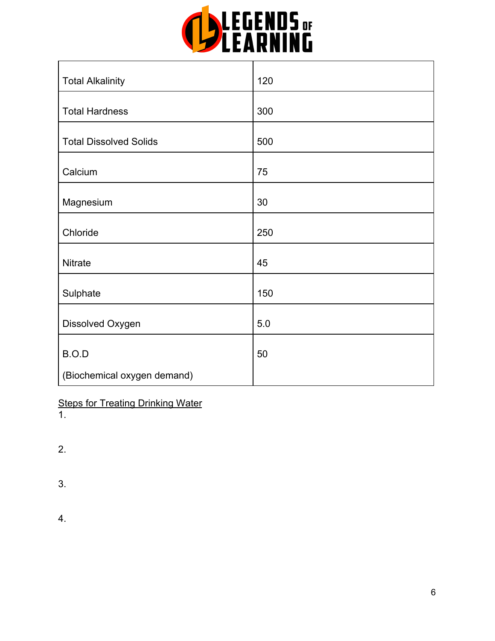

| <b>Total Alkalinity</b>              | 120 |
|--------------------------------------|-----|
| <b>Total Hardness</b>                | 300 |
| <b>Total Dissolved Solids</b>        | 500 |
| Calcium                              | 75  |
| Magnesium                            | 30  |
| Chloride                             | 250 |
| Nitrate                              | 45  |
| Sulphate                             | 150 |
| Dissolved Oxygen                     | 5.0 |
|                                      |     |
| B.O.D<br>(Biochemical oxygen demand) | 50  |

**Steps for Treating Drinking Water** 

1.

 $\mathbf{r}$ 

2.

3.

4.

٦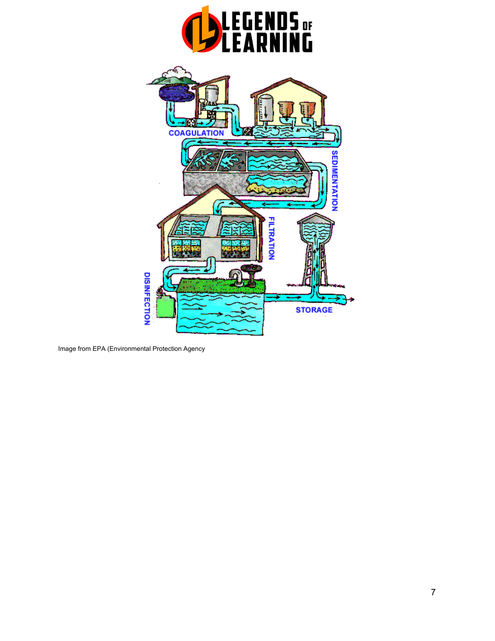

Image from EPA (Environmental Protection Agency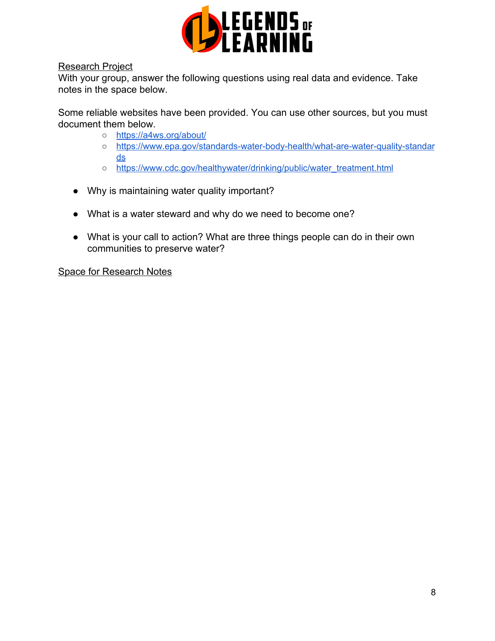

### Research Project

With your group, answer the following questions using real data and evidence. Take notes in the space below.

Some reliable websites have been provided. You can use other sources, but you must document them below.

- o <https://a4ws.org/about/>
- [https://www.epa.gov/standards-water-body-health/what-are-water-quality-standar](https://www.epa.gov/standards-water-body-health/what-are-water-quality-standards) [ds](https://www.epa.gov/standards-water-body-health/what-are-water-quality-standards)
- [https://www.cdc.gov/healthywater/drinking/public/water\\_treatment.html](https://www.cdc.gov/healthywater/drinking/public/water_treatment.html)
- Why is maintaining water quality important?
- What is a water steward and why do we need to become one?
- What is your call to action? What are three things people can do in their own communities to preserve water?

Space for Research Notes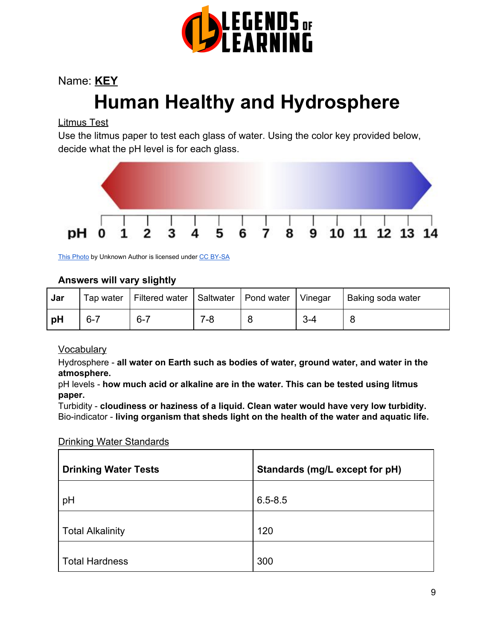

# Name: **KEY Human Healthy and Hydrosphere**

# Litmus Test

Use the litmus paper to test each glass of water. Using the color key provided below, decide what the pH level is for each glass.



This [Photo](https://commons.wikimedia.org/wiki/File:PHscalenolang.svg) by Unknown Author is licensed under [C](https://creativecommons.org/licenses/by-sa/3.0/)C [BY-SA](https://creativecommons.org/licenses/by-sa/3.0/)

# **Answers will vary slightly**

| Jar |         | Tap water   Filtered water   Saltwater |     | Pond water | Vinegar    | Baking soda water |
|-----|---------|----------------------------------------|-----|------------|------------|-------------------|
| рH  | $6 - 7$ | $6 - 7$                                | 7-8 |            | <u>3-4</u> |                   |

# **Vocabulary**

Hydrosphere - **all water on Earth such as bodies of water, ground water, and water in the atmosphere.**

pH levels - **how much acid or alkaline are in the water. This can be tested using litmus paper.**

Turbidity - **cloudiness or haziness of a liquid. Clean water would have very low turbidity.** Bio-indicator - **living organism that sheds light on the health of the water and aquatic life.**

Drinking Water Standards

| <b>Drinking Water Tests</b> | Standards (mg/L except for pH) |
|-----------------------------|--------------------------------|
| pH                          | $6.5 - 8.5$                    |
| <b>Total Alkalinity</b>     | 120                            |
| <b>Total Hardness</b>       | 300                            |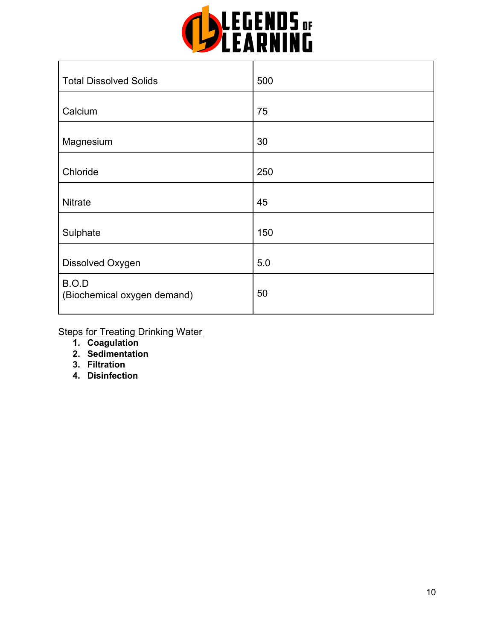

| <b>Total Dissolved Solids</b>        | 500 |
|--------------------------------------|-----|
| Calcium                              | 75  |
| Magnesium                            | 30  |
| Chloride                             | 250 |
| <b>Nitrate</b>                       | 45  |
| Sulphate                             | 150 |
| Dissolved Oxygen                     | 5.0 |
| B.O.D<br>(Biochemical oxygen demand) | 50  |

**Steps for Treating Drinking Water** 

- **1. Coagulation**
- **2. Sedimentation**
- **3. Filtration**

 $\mathbf{r}$ 

**4. Disinfection**

٦